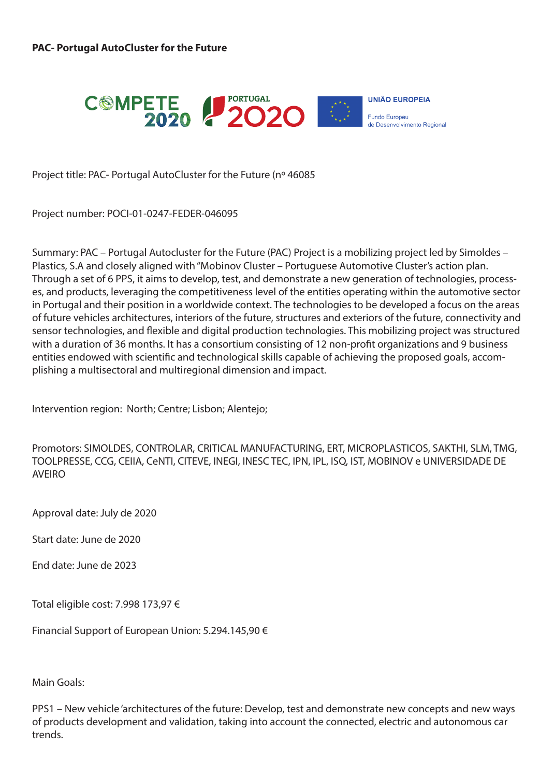

Project title: PAC- Portugal AutoCluster for the Future (nº 46085

Project number: POCI-01-0247-FEDER-046095

Summary: PAC – Portugal Autocluster for the Future (PAC) Project is a mobilizing project led by Simoldes – Plastics, S.A and closely aligned with "Mobinov Cluster – Portuguese Automotive Cluster's action plan. Through a set of 6 PPS, it aims to develop, test, and demonstrate a new generation of technologies, processes, and products, leveraging the competitiveness level of the entities operating within the automotive sector in Portugal and their position in a worldwide context. The technologies to be developed a focus on the areas of future vehicles architectures, interiors of the future, structures and exteriors of the future, connectivity and sensor technologies, and flexible and digital production technologies. This mobilizing project was structured with a duration of 36 months. It has a consortium consisting of 12 non-profit organizations and 9 business entities endowed with scientific and technological skills capable of achieving the proposed goals, accomplishing a multisectoral and multiregional dimension and impact.

Intervention region: North; Centre; Lisbon; Alentejo;

Promotors: SIMOLDES, CONTROLAR, CRITICAL MANUFACTURING, ERT, MICROPLASTICOS, SAKTHI, SLM, TMG, TOOLPRESSE, CCG, CEIIA, CeNTI, CITEVE, INEGI, INESC TEC, IPN, IPL, ISQ, IST, MOBINOV e UNIVERSIDADE DE AVEIRO

Approval date: July de 2020

Start date: June de 2020

End date: June de 2023

Total eligible cost: 7.998 173,97 €

Financial Support of European Union: 5.294.145,90 €

Main Goals:

PPS1 – New vehicle 'architectures of the future: Develop, test and demonstrate new concepts and new ways of products development and validation, taking into account the connected, electric and autonomous car trends.